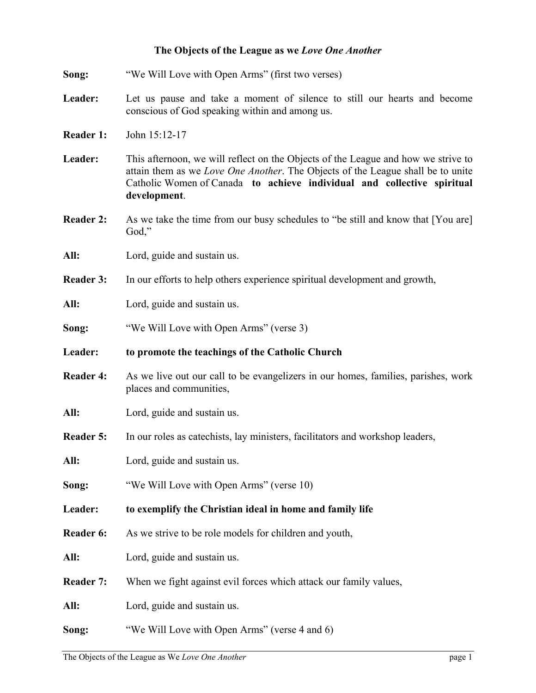## **The Objects of the League as we** *Love One Another*

| Song:            | "We Will Love with Open Arms" (first two verses)                                                                                                                                                                                                                |
|------------------|-----------------------------------------------------------------------------------------------------------------------------------------------------------------------------------------------------------------------------------------------------------------|
| Leader:          | Let us pause and take a moment of silence to still our hearts and become<br>conscious of God speaking within and among us.                                                                                                                                      |
| Reader 1:        | John 15:12-17                                                                                                                                                                                                                                                   |
| Leader:          | This afternoon, we will reflect on the Objects of the League and how we strive to<br>attain them as we Love One Another. The Objects of the League shall be to unite<br>Catholic Women of Canada to achieve individual and collective spiritual<br>development. |
| <b>Reader 2:</b> | As we take the time from our busy schedules to "be still and know that [You are]<br>God,"                                                                                                                                                                       |
| All:             | Lord, guide and sustain us.                                                                                                                                                                                                                                     |
| <b>Reader 3:</b> | In our efforts to help others experience spiritual development and growth,                                                                                                                                                                                      |
| All:             | Lord, guide and sustain us.                                                                                                                                                                                                                                     |
| Song:            | "We Will Love with Open Arms" (verse 3)                                                                                                                                                                                                                         |
| Leader:          | to promote the teachings of the Catholic Church                                                                                                                                                                                                                 |
| <b>Reader 4:</b> | As we live out our call to be evangelizers in our homes, families, parishes, work<br>places and communities,                                                                                                                                                    |
| All:             | Lord, guide and sustain us.                                                                                                                                                                                                                                     |
| <b>Reader 5:</b> | In our roles as catechists, lay ministers, facilitators and workshop leaders,                                                                                                                                                                                   |
| All:             | Lord, guide and sustain us.                                                                                                                                                                                                                                     |
| Song:            | "We Will Love with Open Arms" (verse 10)                                                                                                                                                                                                                        |
| Leader:          | to exemplify the Christian ideal in home and family life                                                                                                                                                                                                        |
| Reader 6:        | As we strive to be role models for children and youth,                                                                                                                                                                                                          |
| All:             | Lord, guide and sustain us.                                                                                                                                                                                                                                     |
| <b>Reader 7:</b> | When we fight against evil forces which attack our family values,                                                                                                                                                                                               |
| All:             | Lord, guide and sustain us.                                                                                                                                                                                                                                     |
| Song:            | "We Will Love with Open Arms" (verse 4 and 6)                                                                                                                                                                                                                   |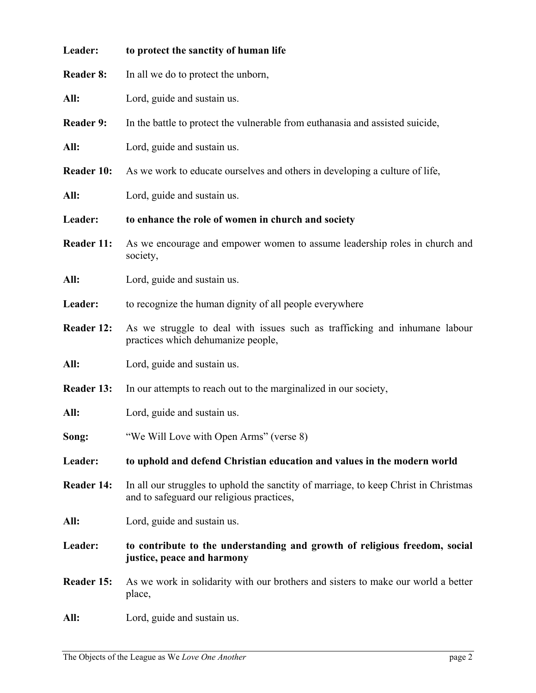| Leader:           | to protect the sanctity of human life                                                                                             |
|-------------------|-----------------------------------------------------------------------------------------------------------------------------------|
| <b>Reader 8:</b>  | In all we do to protect the unborn,                                                                                               |
| All:              | Lord, guide and sustain us.                                                                                                       |
| <b>Reader 9:</b>  | In the battle to protect the vulnerable from euthanasia and assisted suicide,                                                     |
| All:              | Lord, guide and sustain us.                                                                                                       |
| <b>Reader 10:</b> | As we work to educate ourselves and others in developing a culture of life,                                                       |
| All:              | Lord, guide and sustain us.                                                                                                       |
| Leader:           | to enhance the role of women in church and society                                                                                |
| <b>Reader 11:</b> | As we encourage and empower women to assume leadership roles in church and<br>society,                                            |
| All:              | Lord, guide and sustain us.                                                                                                       |
| Leader:           | to recognize the human dignity of all people everywhere                                                                           |
| <b>Reader 12:</b> | As we struggle to deal with issues such as trafficking and inhumane labour<br>practices which dehumanize people,                  |
| All:              | Lord, guide and sustain us.                                                                                                       |
| <b>Reader 13:</b> | In our attempts to reach out to the marginalized in our society,                                                                  |
| All:              | Lord, guide and sustain us.                                                                                                       |
| Song:             | "We Will Love with Open Arms" (verse 8)                                                                                           |
| Leader:           | to uphold and defend Christian education and values in the modern world                                                           |
| <b>Reader 14:</b> | In all our struggles to uphold the sanctity of marriage, to keep Christ in Christmas<br>and to safeguard our religious practices, |
| All:              | Lord, guide and sustain us.                                                                                                       |
| Leader:           | to contribute to the understanding and growth of religious freedom, social<br>justice, peace and harmony                          |
| Reader 15:        | As we work in solidarity with our brothers and sisters to make our world a better<br>place,                                       |
| All:              | Lord, guide and sustain us.                                                                                                       |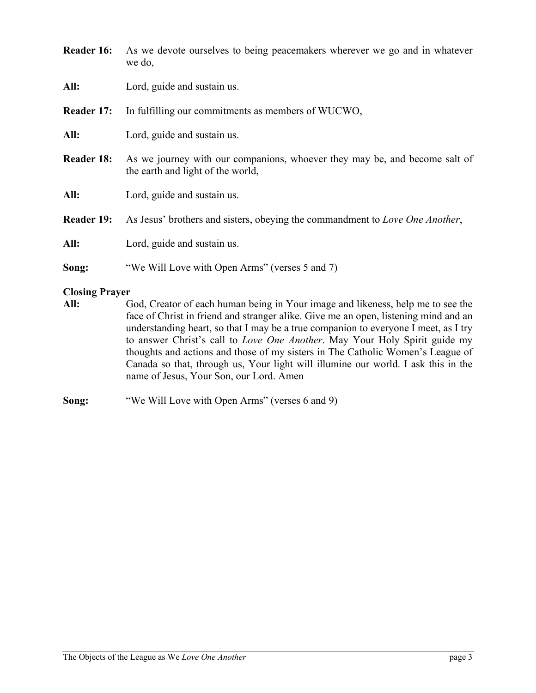| <b>Reader 16:</b>     | As we devote ourselves to being peacemakers wherever we go and in whatever<br>we do,                            |
|-----------------------|-----------------------------------------------------------------------------------------------------------------|
| All:                  | Lord, guide and sustain us.                                                                                     |
| Reader 17:            | In fulfilling our commitments as members of WUCWO,                                                              |
| All:                  | Lord, guide and sustain us.                                                                                     |
| <b>Reader 18:</b>     | As we journey with our companions, whoever they may be, and become salt of<br>the earth and light of the world, |
| All:                  | Lord, guide and sustain us.                                                                                     |
| <b>Reader 19:</b>     | As Jesus' brothers and sisters, obeying the commandment to Love One Another,                                    |
| All:                  | Lord, guide and sustain us.                                                                                     |
| Song:                 | "We Will Love with Open Arms" (verses 5 and 7)                                                                  |
| <b>Closing Prayer</b> |                                                                                                                 |
| $\mathbf{All}$        | Cod Creator of each human being in Your image and likeness help me to see the                                   |

- **All:** God, Creator of each human being in Your image and likeness, help me to see the face of Christ in friend and stranger alike. Give me an open, listening mind and an understanding heart, so that I may be a true companion to everyone I meet, as I try to answer Christ's call to *Love One Another*. May Your Holy Spirit guide my thoughts and actions and those of my sisters in The Catholic Women's League of Canada so that, through us, Your light will illumine our world. I ask this in the name of Jesus, Your Son, our Lord. Amen
- **Song:** "We Will Love with Open Arms" (verses 6 and 9)